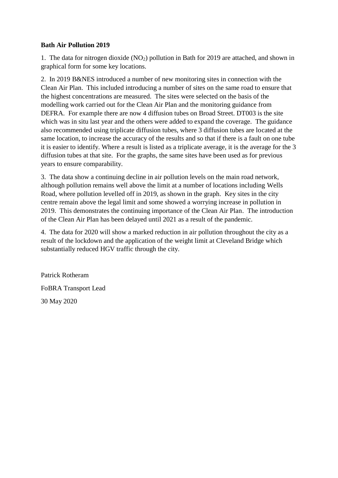## **Bath Air Pollution 2019**

1. The data for nitrogen dioxide  $(NO<sub>2</sub>)$  pollution in Bath for 2019 are attached, and shown in graphical form for some key locations.

2. In 2019 B&NES introduced a number of new monitoring sites in connection with the Clean Air Plan. This included introducing a number of sites on the same road to ensure that the highest concentrations are measured. The sites were selected on the basis of the modelling work carried out for the Clean Air Plan and the monitoring guidance from DEFRA. For example there are now 4 diffusion tubes on Broad Street. DT003 is the site which was in situ last year and the others were added to expand the coverage. The guidance also recommended using triplicate diffusion tubes, where 3 diffusion tubes are located at the same location, to increase the accuracy of the results and so that if there is a fault on one tube it is easier to identify. Where a result is listed as a triplicate average, it is the average for the 3 diffusion tubes at that site. For the graphs, the same sites have been used as for previous years to ensure comparability.

3. The data show a continuing decline in air pollution levels on the main road network, although pollution remains well above the limit at a number of locations including Wells Road, where pollution levelled off in 2019, as shown in the graph. Key sites in the city centre remain above the legal limit and some showed a worrying increase in pollution in 2019. This demonstrates the continuing importance of the Clean Air Plan. The introduction of the Clean Air Plan has been delayed until 2021 as a result of the pandemic.

4. The data for 2020 will show a marked reduction in air pollution throughout the city as a result of the lockdown and the application of the weight limit at Cleveland Bridge which substantially reduced HGV traffic through the city.

Patrick Rotheram FoBRA Transport Lead 30 May 2020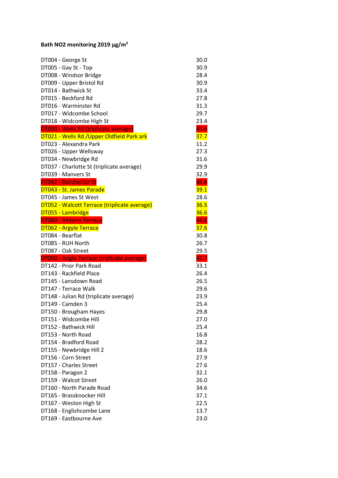## **Bath NO2 monitoring 2019 μg/m<sup>3</sup>**

| DT004 - George St                            | 30.0 |
|----------------------------------------------|------|
| DT005 - Gay St - Top                         | 30.9 |
| DT008 - Windsor Bridge                       | 28.4 |
| DT009 - Upper Bristol Rd                     | 30.9 |
| DT014 - Bathwick St                          | 33.4 |
| DT015 - Beckford Rd                          | 27.8 |
| DT016 - Warminster Rd                        | 31.3 |
| DT017 - Widcombe School                      | 29.7 |
| DT018 - Widcombe High St                     | 23.4 |
| DT020 - Wells Rd (triplicate average)        | 49.6 |
| DT021 - Wells Rd / Upper Oldfield Park ark   | 37.7 |
| DT023 - Alexandra Park                       | 11.2 |
| DT026 - Upper Wellsway                       | 27.3 |
| DT034 - Newbridge Rd                         | 31.6 |
| DT037 - Charlotte St (triplicate average)    | 29.9 |
| DT039 - Manvers St                           | 32.9 |
| <b>DT042 - Dorchester St</b>                 | 48.6 |
| DT043 - St. James Parade                     | 39.1 |
| DT045 - James St West                        | 28.6 |
| DT052 - Walcott Terrace (triplicate average) | 36.5 |
| DT055 - Lambridge                            | 36.6 |
| <b>DT060 - Victoria Terrace</b>              | 44.6 |
| <b>DT062 - Argyle Terrace</b>                | 37.6 |
| DT084 - Bearflat                             | 30.8 |
| DT085 - RUH North                            | 26.7 |
| DT087 - Oak Street                           | 29.5 |
| DT090 - Anglo Terrace (triplicate average)   | 45.7 |
| DT142 - Prior Park Road                      | 33.1 |
| DT143 - Rackfield Place                      | 26.4 |
| DT145 - Lansdown Road                        | 26.5 |
| DT147 - Terrace Walk                         | 29.6 |
| DT148 - Julian Rd (triplicate average)       | 23.9 |
| DT149 - Camden 3                             | 25.4 |
| DT150 - Brougham Hayes                       | 29.8 |
| DT151 - Widcombe Hill                        | 27.0 |
| DT152 - Bathwick Hill                        | 25.4 |
| DT153 - North Road                           | 16.8 |
| DT154 - Bradford Road                        | 28.2 |
| DT155 - Newbridge Hill 2                     | 18.6 |
| DT156 - Corn Street                          | 27.9 |
| DT157 - Charles Street                       | 27.6 |
| DT158 - Paragon 2                            | 32.1 |
| DT159 - Walcot Street                        | 26.0 |
| DT160 - North Parade Road                    | 34.6 |
| DT165 - Brassknocker Hill                    | 37.1 |
| DT167 - Weston High St                       | 22.5 |
| DT168 - Englishcombe Lane                    | 13.7 |
| DT169 - Eastbourne Ave                       | 23.0 |
|                                              |      |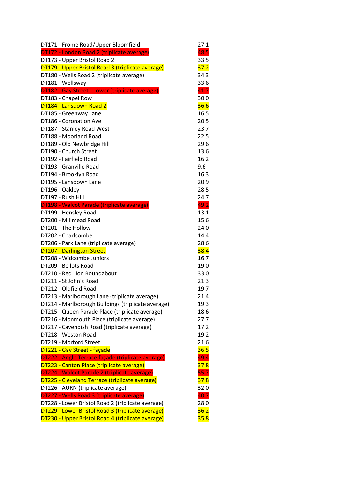| DT171 - Frome Road/Upper Bloomfield                                                                 | 27.1         |
|-----------------------------------------------------------------------------------------------------|--------------|
| DT172 - London Road 2 (triplicate average)                                                          | 48.5         |
| DT173 - Upper Bristol Road 2                                                                        | 33.5         |
| DT179 - Upper Bristol Road 3 (triplicate average)                                                   | 37.2         |
| DT180 - Wells Road 2 (triplicate average)                                                           | 34.3         |
| DT181 - Wellsway                                                                                    | 33.6         |
| DT182 - Gay Street - Lower (triplicate average)                                                     | 41.7         |
| DT183 - Chapel Row                                                                                  | 30.0         |
| DT184 - Lansdown Road 2                                                                             | 36.6         |
| DT185 - Greenway Lane                                                                               | 16.5         |
| DT186 - Coronation Ave                                                                              | 20.5         |
| DT187 - Stanley Road West                                                                           | 23.7         |
| DT188 - Moorland Road                                                                               | 22.5         |
| DT189 - Old Newbridge Hill                                                                          | 29.6         |
| DT190 - Church Street                                                                               | 13.6         |
| DT192 - Fairfield Road                                                                              | 16.2         |
| DT193 - Granville Road                                                                              | 9.6          |
| DT194 - Brooklyn Road                                                                               | 16.3         |
| DT195 - Lansdown Lane                                                                               | 20.9         |
| DT196 - Oakley                                                                                      | 28.5         |
| DT197 - Rush Hill                                                                                   | 24.7         |
| <b>DT198 - Walcot Parade (triplicate average)</b>                                                   | 49.2         |
| DT199 - Hensley Road                                                                                | 13.1         |
| DT200 - Millmead Road                                                                               | 15.6         |
| DT201 - The Hollow                                                                                  | 24.0         |
| DT202 - Charlcombe                                                                                  | 14.4         |
| DT206 - Park Lane (triplicate average)                                                              | 28.6         |
| <b>DT207 - Darlington Street</b>                                                                    | 38.4         |
| DT208 - Widcombe Juniors                                                                            | 16.7         |
| DT209 - Bellots Road                                                                                | 19.0         |
| DT210 - Red Lion Roundabout                                                                         | 33.0         |
| DT211 - St John's Road                                                                              | 21.3         |
| DT212 - Oldfield Road                                                                               | 19.7         |
|                                                                                                     | 21.4         |
| DT213 - Marlborough Lane (triplicate average)<br>DT214 - Marlborough Buildings (triplicate average) |              |
|                                                                                                     | 19.3<br>18.6 |
| DT215 - Queen Parade Place (triplicate average)                                                     | 27.7         |
| DT216 - Monmouth Place (triplicate average)                                                         |              |
| DT217 - Cavendish Road (triplicate average)                                                         | 17.2         |
| DT218 - Weston Road                                                                                 | 19.2         |
| DT219 - Morford Street                                                                              | 21.6         |
| DT221 - Gay Street - façade                                                                         | 36.5         |
| DT222 - Anglo Terrace façade (triplicate average)                                                   | 49.4         |
| DT223 - Canton Place (triplicate average)                                                           | 37.8         |
| DT224 - Walcot Parade 2 (triplicate average)                                                        | 55.7         |
| DT225 - Cleveland Terrace (triplicate average)                                                      | 37.8         |
| DT226 - AURN (triplicate average)                                                                   | 32.0         |
| DT227 - Wells Road 3 (triplicate average)                                                           | 40.7         |
| DT228 - Lower Bristol Road 2 (triplicate average)                                                   | 28.0         |
| DT229 - Lower Bristol Road 3 (triplicate average)                                                   | 36.2         |
| DT230 - Upper Bristol Road 4 (triplicate average)                                                   | 35.8         |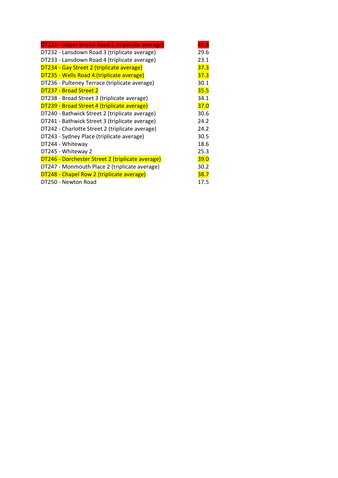| DT231 - Upper Bristol Road 5 (triplicate average) | 41.6 |
|---------------------------------------------------|------|
| DT232 - Lansdown Road 3 (triplicate average)      | 29.6 |
| DT233 - Lansdown Road 4 (triplicate average)      | 23.1 |
| DT234 - Gay Street 2 (triplicate average)         | 37.3 |
| DT235 - Wells Road 4 (triplicate average)         | 37.3 |
| DT236 - Pulteney Terrace (triplicate average)     | 30.1 |
| DT237 - Broad Street 2                            | 35.5 |
| DT238 - Broad Street 3 (triplicate average)       | 34.1 |
| DT239 - Broad Street 4 (triplicate average)       | 37.0 |
| DT240 - Bathwick Street 2 (triplicate average)    | 30.6 |
| DT241 - Bathwick Street 3 (triplicate average)    | 24.2 |
| DT242 - Charlotte Street 2 (triplicate average)   | 24.2 |
| DT243 - Sydney Place (triplicate average)         | 30.5 |
| DT244 - Whiteway                                  | 18.6 |
| DT245 - Whiteway 2                                | 25.3 |
| DT246 - Dorchester Street 2 (triplicate average)  | 39.0 |
| DT247 - Monmouth Place 2 (triplicate average)     | 30.2 |
| DT248 - Chapel Row 2 (triplicate average)         | 38.7 |
| DT250 - Newton Road                               | 17.5 |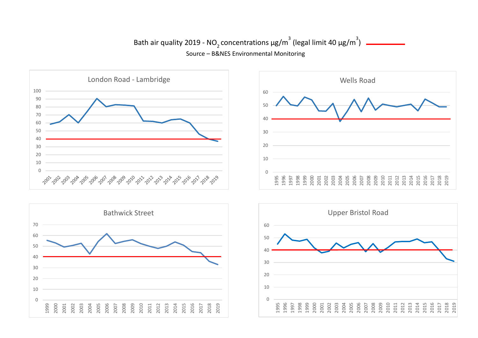## Bath air quality 2019 - NO<sub>2</sub> concentrations  $\mu$ g/m<sup>3</sup> (legal limit 40  $\mu$ g/m<sup>3</sup>) Source – B&NES Environmental Monitoring